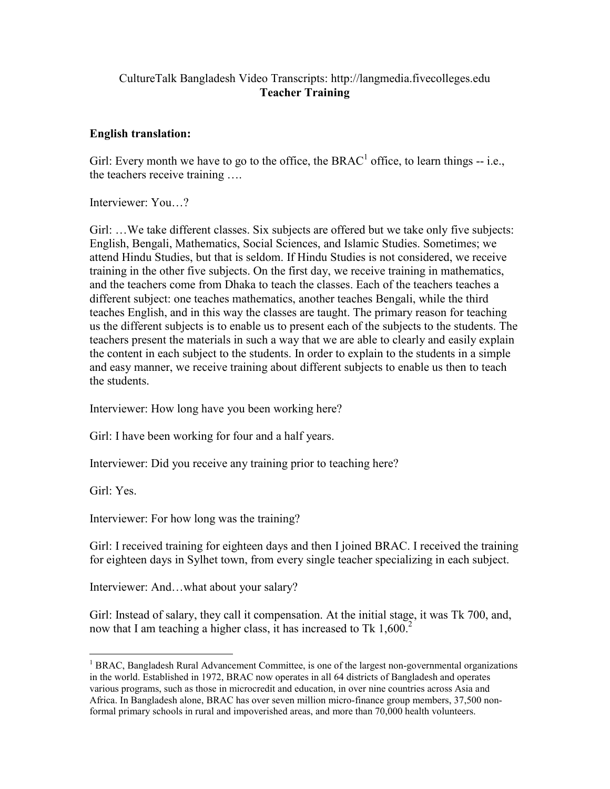## CultureTalk Bangladesh Video Transcripts: http://langmedia.fivecolleges.edu Teacher Training

## English translation:

Girl: Every month we have to go to the office, the BRAC<sup>1</sup> office, to learn things -- i.e., the teachers receive training ….

Interviewer: You…?

Girl: ... We take different classes. Six subjects are offered but we take only five subjects: English, Bengali, Mathematics, Social Sciences, and Islamic Studies. Sometimes; we attend Hindu Studies, but that is seldom. If Hindu Studies is not considered, we receive training in the other five subjects. On the first day, we receive training in mathematics, and the teachers come from Dhaka to teach the classes. Each of the teachers teaches a different subject: one teaches mathematics, another teaches Bengali, while the third teaches English, and in this way the classes are taught. The primary reason for teaching us the different subjects is to enable us to present each of the subjects to the students. The teachers present the materials in such a way that we are able to clearly and easily explain the content in each subject to the students. In order to explain to the students in a simple and easy manner, we receive training about different subjects to enable us then to teach the students.

Interviewer: How long have you been working here?

Girl: I have been working for four and a half years.

Interviewer: Did you receive any training prior to teaching here?

Girl: Yes.

Interviewer: For how long was the training?

Girl: I received training for eighteen days and then I joined BRAC. I received the training for eighteen days in Sylhet town, from every single teacher specializing in each subject.

Interviewer: And…what about your salary?

Girl: Instead of salary, they call it compensation. At the initial stage, it was Tk 700, and, now that I am teaching a higher class, it has increased to Tk  $1,600$ .<sup>2</sup>

 1 BRAC, Bangladesh Rural Advancement Committee, is one of the largest non-governmental organizations in the world. Established in 1972, BRAC now operates in all 64 districts of Bangladesh and operates various programs, such as those in microcredit and education, in over nine countries across Asia and Africa. In Bangladesh alone, BRAC has over seven million micro-finance group members, 37,500 nonformal primary schools in rural and impoverished areas, and more than 70,000 health volunteers.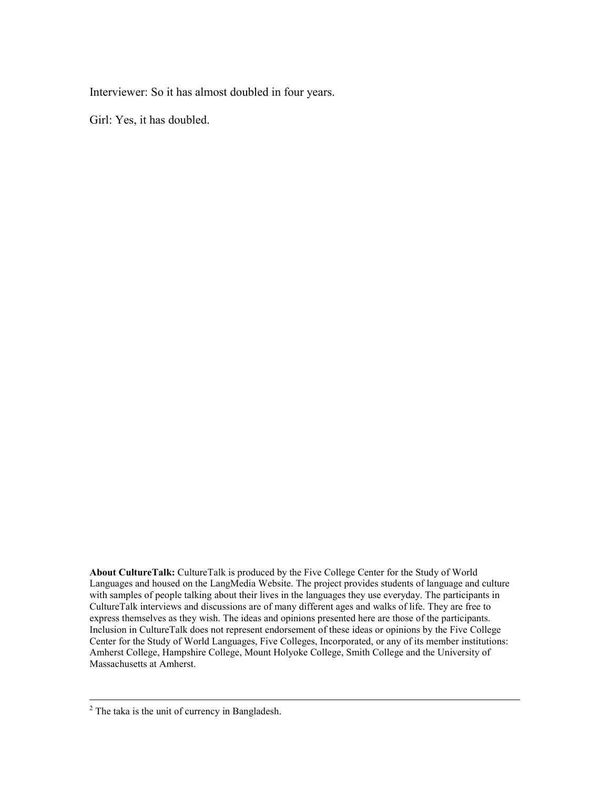Interviewer: So it has almost doubled in four years.

Girl: Yes, it has doubled.

About CultureTalk: CultureTalk is produced by the Five College Center for the Study of World Languages and housed on the LangMedia Website. The project provides students of language and culture with samples of people talking about their lives in the languages they use everyday. The participants in CultureTalk interviews and discussions are of many different ages and walks of life. They are free to express themselves as they wish. The ideas and opinions presented here are those of the participants. Inclusion in CultureTalk does not represent endorsement of these ideas or opinions by the Five College Center for the Study of World Languages, Five Colleges, Incorporated, or any of its member institutions: Amherst College, Hampshire College, Mount Holyoke College, Smith College and the University of Massachusetts at Amherst.

<sup>&</sup>lt;sup>2</sup> The taka is the unit of currency in Bangladesh.